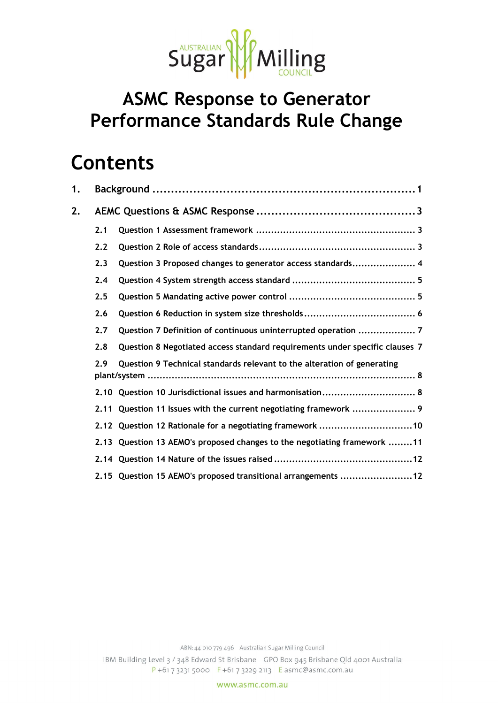

## **ASMC Response to Generator Performance Standards Rule Change**

## **Contents**

| 1. |      |                                                                             |
|----|------|-----------------------------------------------------------------------------|
| 2. |      |                                                                             |
|    | 2.1  |                                                                             |
|    | 2.2  |                                                                             |
|    | 2.3  | Question 3 Proposed changes to generator access standards 4                 |
|    | 2.4  |                                                                             |
|    | 2.5  |                                                                             |
|    | 2.6  |                                                                             |
|    | 2.7  | Question 7 Definition of continuous uninterrupted operation  7              |
|    | 2.8  | Question 8 Negotiated access standard requirements under specific clauses 7 |
|    | 2.9  | Question 9 Technical standards relevant to the alteration of generating     |
|    |      | 2.10 Question 10 Jurisdictional issues and harmonisation 8                  |
|    | 2.11 | Question 11 Issues with the current negotiating framework  9                |
|    |      | 2.12 Question 12 Rationale for a negotiating framework 10                   |
|    |      | 2.13 Question 13 AEMO's proposed changes to the negotiating framework 11    |
|    |      |                                                                             |
|    |      | 2.15 Question 15 AEMO's proposed transitional arrangements 12               |

www.asmc.com.au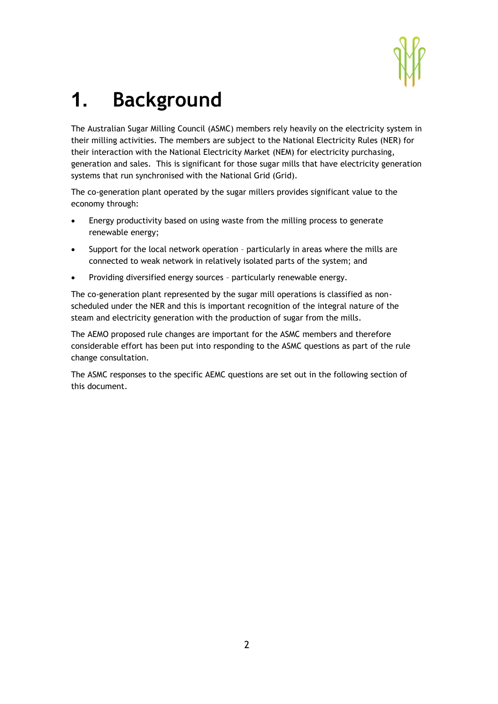

# **1. Background**

The Australian Sugar Milling Council (ASMC) members rely heavily on the electricity system in their milling activities. The members are subject to the National Electricity Rules (NER) for their interaction with the National Electricity Market (NEM) for electricity purchasing, generation and sales. This is significant for those sugar mills that have electricity generation systems that run synchronised with the National Grid (Grid).

The co-generation plant operated by the sugar millers provides significant value to the economy through:

- Energy productivity based on using waste from the milling process to generate renewable energy;
- Support for the local network operation particularly in areas where the mills are connected to weak network in relatively isolated parts of the system; and
- Providing diversified energy sources particularly renewable energy.

The co-generation plant represented by the sugar mill operations is classified as nonscheduled under the NER and this is important recognition of the integral nature of the steam and electricity generation with the production of sugar from the mills.

The AEMO proposed rule changes are important for the ASMC members and therefore considerable effort has been put into responding to the ASMC questions as part of the rule change consultation.

The ASMC responses to the specific AEMC questions are set out in the following section of this document.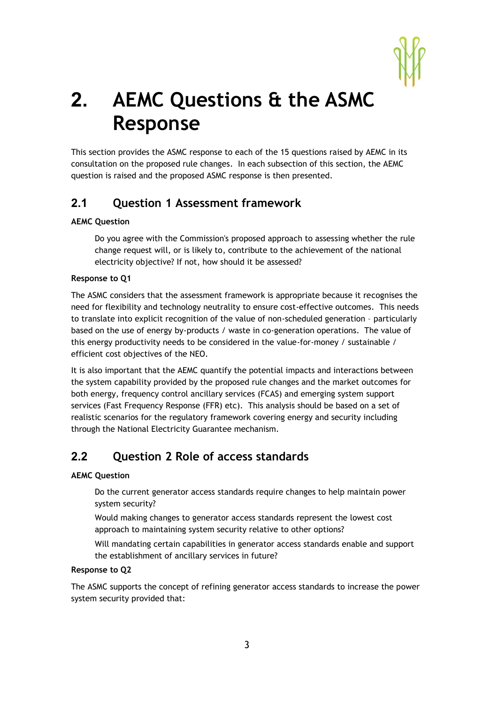

# **2. AEMC Questions & the ASMC Response**

This section provides the ASMC response to each of the 15 questions raised by AEMC in its consultation on the proposed rule changes. In each subsection of this section, the AEMC question is raised and the proposed ASMC response is then presented.

## **2.1 Question 1 Assessment framework**

#### **AEMC Question**

Do you agree with the Commission's proposed approach to assessing whether the rule change request will, or is likely to, contribute to the achievement of the national electricity objective? If not, how should it be assessed?

#### **Response to Q1**

The ASMC considers that the assessment framework is appropriate because it recognises the need for flexibility and technology neutrality to ensure cost-effective outcomes. This needs to translate into explicit recognition of the value of non-scheduled generation – particularly based on the use of energy by-products / waste in co-generation operations. The value of this energy productivity needs to be considered in the value-for-money / sustainable / efficient cost objectives of the NEO.

It is also important that the AEMC quantify the potential impacts and interactions between the system capability provided by the proposed rule changes and the market outcomes for both energy, frequency control ancillary services (FCAS) and emerging system support services (Fast Frequency Response (FFR) etc). This analysis should be based on a set of realistic scenarios for the regulatory framework covering energy and security including through the National Electricity Guarantee mechanism.

## **2.2 Question 2 Role of access standards**

#### **AEMC Question**

Do the current generator access standards require changes to help maintain power system security?

Would making changes to generator access standards represent the lowest cost approach to maintaining system security relative to other options?

Will mandating certain capabilities in generator access standards enable and support the establishment of ancillary services in future?

#### **Response to Q2**

The ASMC supports the concept of refining generator access standards to increase the power system security provided that: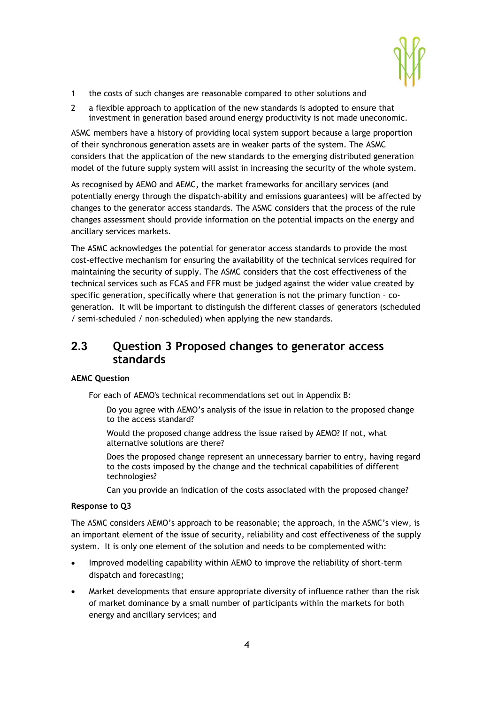

- 1 the costs of such changes are reasonable compared to other solutions and
- 2 a flexible approach to application of the new standards is adopted to ensure that investment in generation based around energy productivity is not made uneconomic.

ASMC members have a history of providing local system support because a large proportion of their synchronous generation assets are in weaker parts of the system. The ASMC considers that the application of the new standards to the emerging distributed generation model of the future supply system will assist in increasing the security of the whole system.

As recognised by AEMO and AEMC, the market frameworks for ancillary services (and potentially energy through the dispatch-ability and emissions guarantees) will be affected by changes to the generator access standards. The ASMC considers that the process of the rule changes assessment should provide information on the potential impacts on the energy and ancillary services markets.

The ASMC acknowledges the potential for generator access standards to provide the most cost-effective mechanism for ensuring the availability of the technical services required for maintaining the security of supply. The ASMC considers that the cost effectiveness of the technical services such as FCAS and FFR must be judged against the wider value created by specific generation, specifically where that generation is not the primary function – cogeneration. It will be important to distinguish the different classes of generators (scheduled / semi-scheduled / non-scheduled) when applying the new standards.

## **2.3 Question 3 Proposed changes to generator access standards**

#### **AEMC Question**

For each of AEMO's technical recommendations set out in Appendix B:

- Do you agree with AEMO's analysis of the issue in relation to the proposed change to the access standard?
- Would the proposed change address the issue raised by AEMO? If not, what alternative solutions are there?
- Does the proposed change represent an unnecessary barrier to entry, having regard to the costs imposed by the change and the technical capabilities of different technologies?

Can you provide an indication of the costs associated with the proposed change?

#### **Response to Q3**

The ASMC considers AEMO's approach to be reasonable; the approach, in the ASMC's view, is an important element of the issue of security, reliability and cost effectiveness of the supply system. It is only one element of the solution and needs to be complemented with:

- Improved modelling capability within AEMO to improve the reliability of short-term dispatch and forecasting;
- Market developments that ensure appropriate diversity of influence rather than the risk of market dominance by a small number of participants within the markets for both energy and ancillary services; and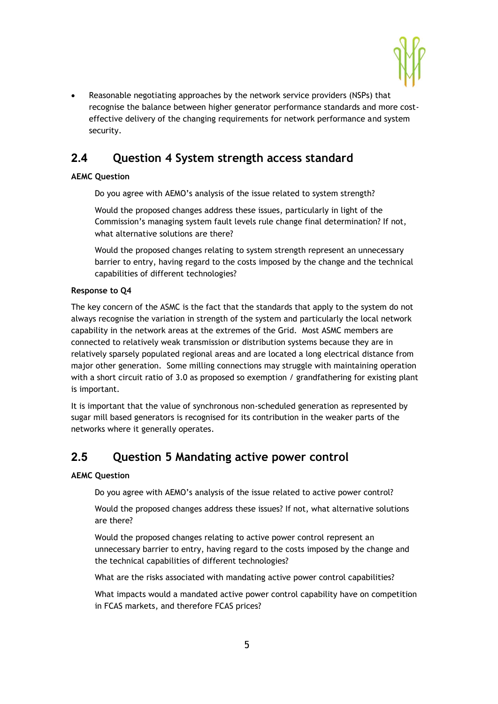

 Reasonable negotiating approaches by the network service providers (NSPs) that recognise the balance between higher generator performance standards and more costeffective delivery of the changing requirements for network performance and system security.

## **2.4 Question 4 System strength access standard**

#### **AEMC Question**

Do you agree with AEMO's analysis of the issue related to system strength?

Would the proposed changes address these issues, particularly in light of the Commission's managing system fault levels rule change final determination? If not, what alternative solutions are there?

Would the proposed changes relating to system strength represent an unnecessary barrier to entry, having regard to the costs imposed by the change and the technical capabilities of different technologies?

#### **Response to Q4**

The key concern of the ASMC is the fact that the standards that apply to the system do not always recognise the variation in strength of the system and particularly the local network capability in the network areas at the extremes of the Grid. Most ASMC members are connected to relatively weak transmission or distribution systems because they are in relatively sparsely populated regional areas and are located a long electrical distance from major other generation. Some milling connections may struggle with maintaining operation with a short circuit ratio of 3.0 as proposed so exemption / grandfathering for existing plant is important.

It is important that the value of synchronous non-scheduled generation as represented by sugar mill based generators is recognised for its contribution in the weaker parts of the networks where it generally operates.

## **2.5 Question 5 Mandating active power control**

#### **AEMC Question**

Do you agree with AEMO's analysis of the issue related to active power control?

Would the proposed changes address these issues? If not, what alternative solutions are there?

Would the proposed changes relating to active power control represent an unnecessary barrier to entry, having regard to the costs imposed by the change and the technical capabilities of different technologies?

What are the risks associated with mandating active power control capabilities?

What impacts would a mandated active power control capability have on competition in FCAS markets, and therefore FCAS prices?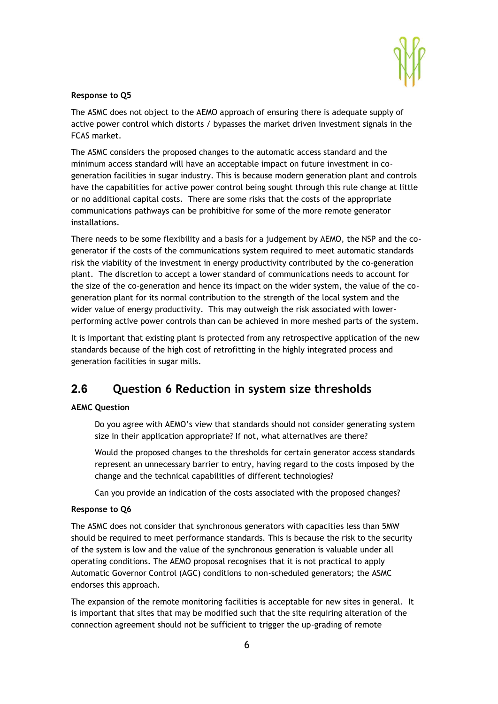

#### **Response to Q5**

The ASMC does not object to the AEMO approach of ensuring there is adequate supply of active power control which distorts / bypasses the market driven investment signals in the FCAS market.

The ASMC considers the proposed changes to the automatic access standard and the minimum access standard will have an acceptable impact on future investment in cogeneration facilities in sugar industry. This is because modern generation plant and controls have the capabilities for active power control being sought through this rule change at little or no additional capital costs. There are some risks that the costs of the appropriate communications pathways can be prohibitive for some of the more remote generator installations.

There needs to be some flexibility and a basis for a judgement by AEMO, the NSP and the cogenerator if the costs of the communications system required to meet automatic standards risk the viability of the investment in energy productivity contributed by the co-generation plant. The discretion to accept a lower standard of communications needs to account for the size of the co-generation and hence its impact on the wider system, the value of the cogeneration plant for its normal contribution to the strength of the local system and the wider value of energy productivity. This may outweigh the risk associated with lowerperforming active power controls than can be achieved in more meshed parts of the system.

It is important that existing plant is protected from any retrospective application of the new standards because of the high cost of retrofitting in the highly integrated process and generation facilities in sugar mills.

## **2.6 Question 6 Reduction in system size thresholds**

#### **AEMC Question**

Do you agree with AEMO's view that standards should not consider generating system size in their application appropriate? If not, what alternatives are there?

Would the proposed changes to the thresholds for certain generator access standards represent an unnecessary barrier to entry, having regard to the costs imposed by the change and the technical capabilities of different technologies?

Can you provide an indication of the costs associated with the proposed changes?

#### **Response to Q6**

The ASMC does not consider that synchronous generators with capacities less than 5MW should be required to meet performance standards. This is because the risk to the security of the system is low and the value of the synchronous generation is valuable under all operating conditions. The AEMO proposal recognises that it is not practical to apply Automatic Governor Control (AGC) conditions to non-scheduled generators; the ASMC endorses this approach.

The expansion of the remote monitoring facilities is acceptable for new sites in general. It is important that sites that may be modified such that the site requiring alteration of the connection agreement should not be sufficient to trigger the up-grading of remote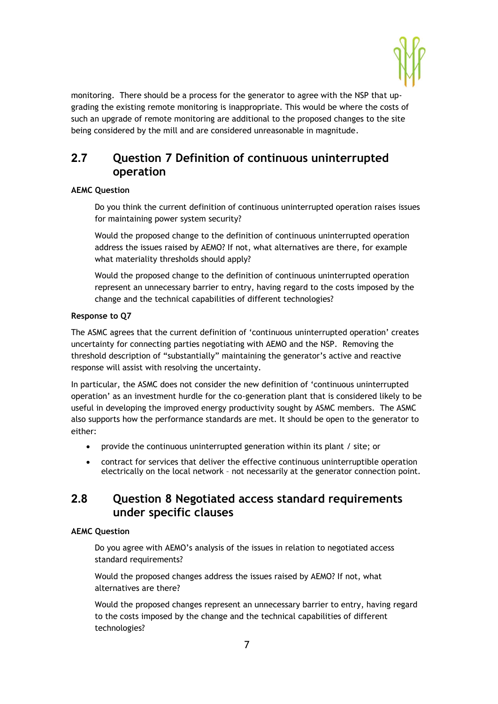

monitoring. There should be a process for the generator to agree with the NSP that upgrading the existing remote monitoring is inappropriate. This would be where the costs of such an upgrade of remote monitoring are additional to the proposed changes to the site being considered by the mill and are considered unreasonable in magnitude.

## **2.7 Question 7 Definition of continuous uninterrupted operation**

#### **AEMC Question**

Do you think the current definition of continuous uninterrupted operation raises issues for maintaining power system security?

Would the proposed change to the definition of continuous uninterrupted operation address the issues raised by AEMO? If not, what alternatives are there, for example what materiality thresholds should apply?

Would the proposed change to the definition of continuous uninterrupted operation represent an unnecessary barrier to entry, having regard to the costs imposed by the change and the technical capabilities of different technologies?

#### **Response to Q7**

The ASMC agrees that the current definition of 'continuous uninterrupted operation' creates uncertainty for connecting parties negotiating with AEMO and the NSP. Removing the threshold description of "substantially" maintaining the generator's active and reactive response will assist with resolving the uncertainty.

In particular, the ASMC does not consider the new definition of 'continuous uninterrupted operation' as an investment hurdle for the co-generation plant that is considered likely to be useful in developing the improved energy productivity sought by ASMC members. The ASMC also supports how the performance standards are met. It should be open to the generator to either:

- provide the continuous uninterrupted generation within its plant / site; or
- contract for services that deliver the effective continuous uninterruptible operation electrically on the local network – not necessarily at the generator connection point.

## **2.8 Question 8 Negotiated access standard requirements under specific clauses**

#### **AEMC Question**

Do you agree with AEMO's analysis of the issues in relation to negotiated access standard requirements?

Would the proposed changes address the issues raised by AEMO? If not, what alternatives are there?

Would the proposed changes represent an unnecessary barrier to entry, having regard to the costs imposed by the change and the technical capabilities of different technologies?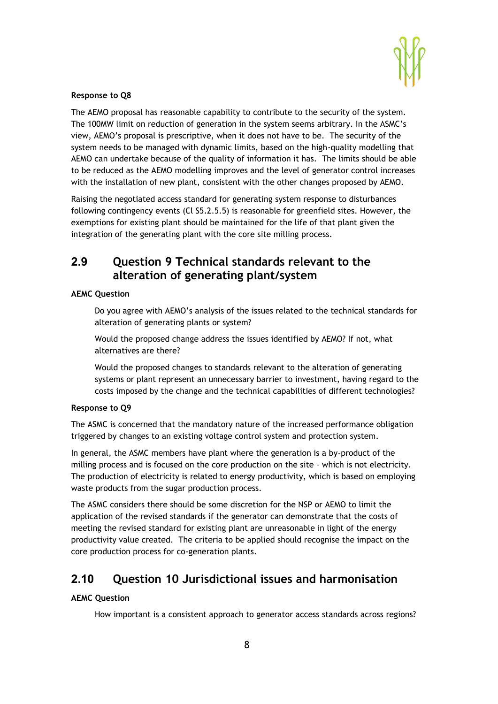

#### **Response to Q8**

The AEMO proposal has reasonable capability to contribute to the security of the system. The 100MW limit on reduction of generation in the system seems arbitrary. In the ASMC's view, AEMO's proposal is prescriptive, when it does not have to be. The security of the system needs to be managed with dynamic limits, based on the high-quality modelling that AEMO can undertake because of the quality of information it has. The limits should be able to be reduced as the AEMO modelling improves and the level of generator control increases with the installation of new plant, consistent with the other changes proposed by AEMO.

Raising the negotiated access standard for generating system response to disturbances following contingency events (Cl S5.2.5.5) is reasonable for greenfield sites. However, the exemptions for existing plant should be maintained for the life of that plant given the integration of the generating plant with the core site milling process.

## **2.9 Question 9 Technical standards relevant to the alteration of generating plant/system**

#### **AEMC Question**

Do you agree with AEMO's analysis of the issues related to the technical standards for alteration of generating plants or system?

Would the proposed change address the issues identified by AEMO? If not, what alternatives are there?

Would the proposed changes to standards relevant to the alteration of generating systems or plant represent an unnecessary barrier to investment, having regard to the costs imposed by the change and the technical capabilities of different technologies?

#### **Response to Q9**

The ASMC is concerned that the mandatory nature of the increased performance obligation triggered by changes to an existing voltage control system and protection system.

In general, the ASMC members have plant where the generation is a by-product of the milling process and is focused on the core production on the site – which is not electricity. The production of electricity is related to energy productivity, which is based on employing waste products from the sugar production process.

The ASMC considers there should be some discretion for the NSP or AEMO to limit the application of the revised standards if the generator can demonstrate that the costs of meeting the revised standard for existing plant are unreasonable in light of the energy productivity value created. The criteria to be applied should recognise the impact on the core production process for co-generation plants.

## **2.10 Question 10 Jurisdictional issues and harmonisation**

#### **AEMC Question**

How important is a consistent approach to generator access standards across regions?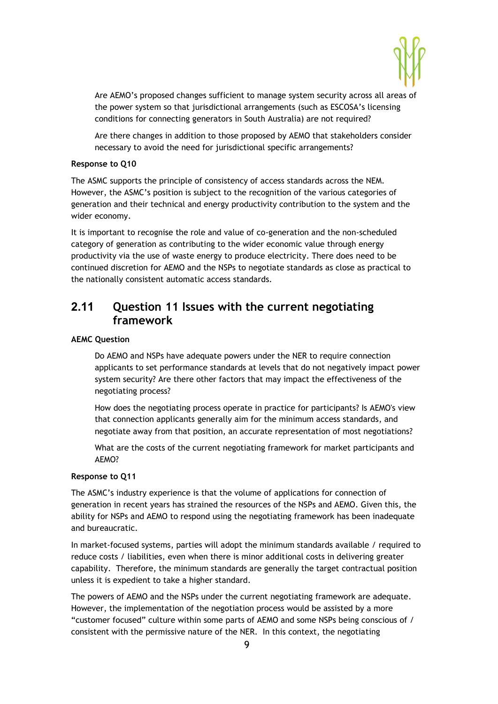

Are AEMO's proposed changes sufficient to manage system security across all areas of the power system so that jurisdictional arrangements (such as ESCOSA's licensing conditions for connecting generators in South Australia) are not required?

Are there changes in addition to those proposed by AEMO that stakeholders consider necessary to avoid the need for jurisdictional specific arrangements?

#### **Response to Q10**

The ASMC supports the principle of consistency of access standards across the NEM. However, the ASMC's position is subject to the recognition of the various categories of generation and their technical and energy productivity contribution to the system and the wider economy.

It is important to recognise the role and value of co-generation and the non-scheduled category of generation as contributing to the wider economic value through energy productivity via the use of waste energy to produce electricity. There does need to be continued discretion for AEMO and the NSPs to negotiate standards as close as practical to the nationally consistent automatic access standards.

## **2.11 Question 11 Issues with the current negotiating framework**

#### **AEMC Question**

Do AEMO and NSPs have adequate powers under the NER to require connection applicants to set performance standards at levels that do not negatively impact power system security? Are there other factors that may impact the effectiveness of the negotiating process?

How does the negotiating process operate in practice for participants? Is AEMO's view that connection applicants generally aim for the minimum access standards, and negotiate away from that position, an accurate representation of most negotiations?

What are the costs of the current negotiating framework for market participants and AEMO?

#### **Response to Q11**

The ASMC's industry experience is that the volume of applications for connection of generation in recent years has strained the resources of the NSPs and AEMO. Given this, the ability for NSPs and AEMO to respond using the negotiating framework has been inadequate and bureaucratic.

In market-focused systems, parties will adopt the minimum standards available / required to reduce costs / liabilities, even when there is minor additional costs in delivering greater capability. Therefore, the minimum standards are generally the target contractual position unless it is expedient to take a higher standard.

The powers of AEMO and the NSPs under the current negotiating framework are adequate. However, the implementation of the negotiation process would be assisted by a more "customer focused" culture within some parts of AEMO and some NSPs being conscious of / consistent with the permissive nature of the NER. In this context, the negotiating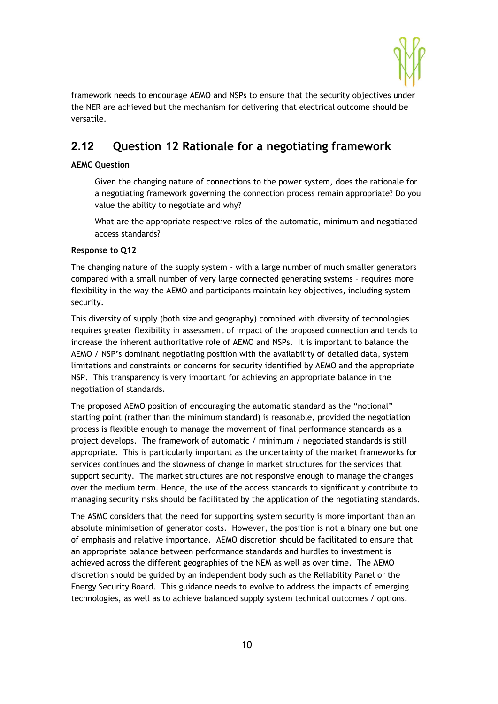

framework needs to encourage AEMO and NSPs to ensure that the security objectives under the NER are achieved but the mechanism for delivering that electrical outcome should be versatile.

## **2.12 Question 12 Rationale for a negotiating framework**

#### **AEMC Question**

Given the changing nature of connections to the power system, does the rationale for a negotiating framework governing the connection process remain appropriate? Do you value the ability to negotiate and why?

What are the appropriate respective roles of the automatic, minimum and negotiated access standards?

#### **Response to Q12**

The changing nature of the supply system - with a large number of much smaller generators compared with a small number of very large connected generating systems – requires more flexibility in the way the AEMO and participants maintain key objectives, including system security.

This diversity of supply (both size and geography) combined with diversity of technologies requires greater flexibility in assessment of impact of the proposed connection and tends to increase the inherent authoritative role of AEMO and NSPs. It is important to balance the AEMO / NSP's dominant negotiating position with the availability of detailed data, system limitations and constraints or concerns for security identified by AEMO and the appropriate NSP. This transparency is very important for achieving an appropriate balance in the negotiation of standards.

The proposed AEMO position of encouraging the automatic standard as the "notional" starting point (rather than the minimum standard) is reasonable, provided the negotiation process is flexible enough to manage the movement of final performance standards as a project develops. The framework of automatic / minimum / negotiated standards is still appropriate. This is particularly important as the uncertainty of the market frameworks for services continues and the slowness of change in market structures for the services that support security. The market structures are not responsive enough to manage the changes over the medium term. Hence, the use of the access standards to significantly contribute to managing security risks should be facilitated by the application of the negotiating standards.

The ASMC considers that the need for supporting system security is more important than an absolute minimisation of generator costs. However, the position is not a binary one but one of emphasis and relative importance. AEMO discretion should be facilitated to ensure that an appropriate balance between performance standards and hurdles to investment is achieved across the different geographies of the NEM as well as over time. The AEMO discretion should be guided by an independent body such as the Reliability Panel or the Energy Security Board. This guidance needs to evolve to address the impacts of emerging technologies, as well as to achieve balanced supply system technical outcomes / options.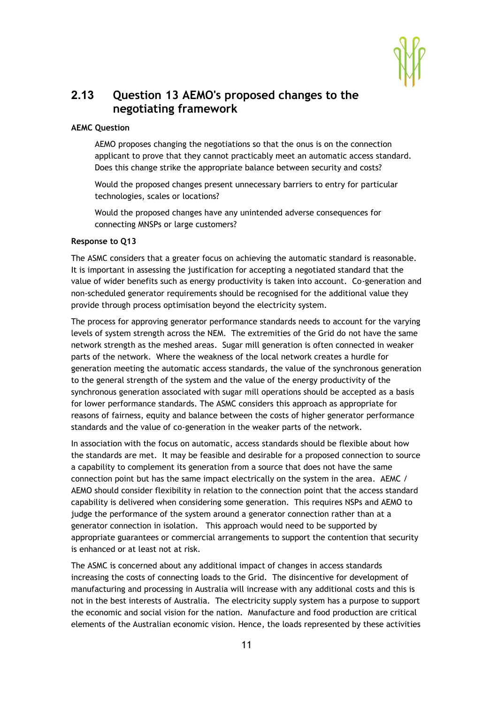

## **2.13 Question 13 AEMO's proposed changes to the negotiating framework**

#### **AEMC Question**

AEMO proposes changing the negotiations so that the onus is on the connection applicant to prove that they cannot practicably meet an automatic access standard. Does this change strike the appropriate balance between security and costs?

Would the proposed changes present unnecessary barriers to entry for particular technologies, scales or locations?

Would the proposed changes have any unintended adverse consequences for connecting MNSPs or large customers?

#### **Response to Q13**

The ASMC considers that a greater focus on achieving the automatic standard is reasonable. It is important in assessing the justification for accepting a negotiated standard that the value of wider benefits such as energy productivity is taken into account. Co-generation and non-scheduled generator requirements should be recognised for the additional value they provide through process optimisation beyond the electricity system.

The process for approving generator performance standards needs to account for the varying levels of system strength across the NEM. The extremities of the Grid do not have the same network strength as the meshed areas. Sugar mill generation is often connected in weaker parts of the network. Where the weakness of the local network creates a hurdle for generation meeting the automatic access standards, the value of the synchronous generation to the general strength of the system and the value of the energy productivity of the synchronous generation associated with sugar mill operations should be accepted as a basis for lower performance standards. The ASMC considers this approach as appropriate for reasons of fairness, equity and balance between the costs of higher generator performance standards and the value of co-generation in the weaker parts of the network.

In association with the focus on automatic, access standards should be flexible about how the standards are met. It may be feasible and desirable for a proposed connection to source a capability to complement its generation from a source that does not have the same connection point but has the same impact electrically on the system in the area. AEMC / AEMO should consider flexibility in relation to the connection point that the access standard capability is delivered when considering some generation. This requires NSPs and AEMO to judge the performance of the system around a generator connection rather than at a generator connection in isolation. This approach would need to be supported by appropriate guarantees or commercial arrangements to support the contention that security is enhanced or at least not at risk.

The ASMC is concerned about any additional impact of changes in access standards increasing the costs of connecting loads to the Grid. The disincentive for development of manufacturing and processing in Australia will increase with any additional costs and this is not in the best interests of Australia. The electricity supply system has a purpose to support the economic and social vision for the nation. Manufacture and food production are critical elements of the Australian economic vision. Hence, the loads represented by these activities